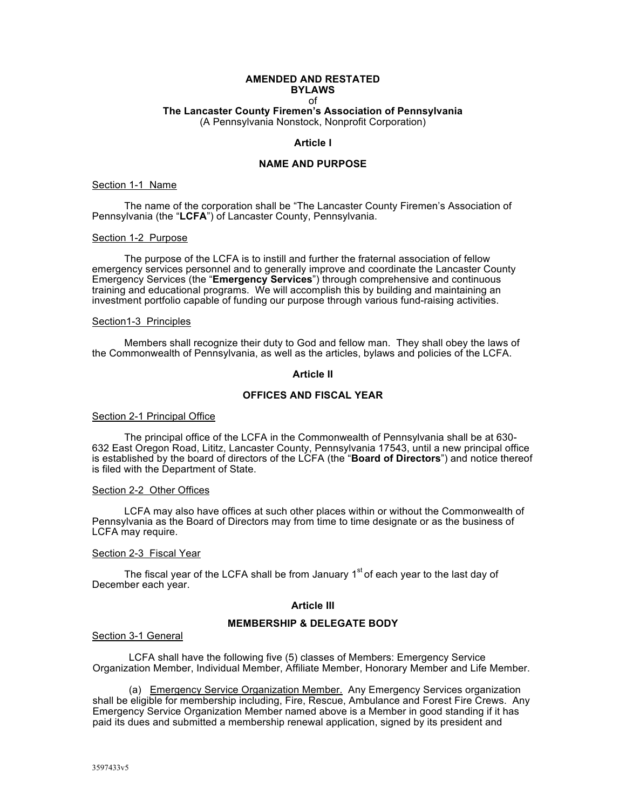#### **AMENDED AND RESTATED BYLAWS** of **The Lancaster County Firemen's Association of Pennsylvania** (A Pennsylvania Nonstock, Nonprofit Corporation)

#### **Article I**

## **NAME AND PURPOSE**

#### Section 1-1 Name

The name of the corporation shall be "The Lancaster County Firemen's Association of Pennsylvania (the "**LCFA**") of Lancaster County, Pennsylvania.

#### Section 1-2 Purpose

The purpose of the LCFA is to instill and further the fraternal association of fellow emergency services personnel and to generally improve and coordinate the Lancaster County Emergency Services (the "**Emergency Services**") through comprehensive and continuous training and educational programs. We will accomplish this by building and maintaining an investment portfolio capable of funding our purpose through various fund-raising activities.

#### Section1-3 Principles

Members shall recognize their duty to God and fellow man. They shall obey the laws of the Commonwealth of Pennsylvania, as well as the articles, bylaws and policies of the LCFA.

#### **Article II**

# **OFFICES AND FISCAL YEAR**

#### Section 2-1 Principal Office

The principal office of the LCFA in the Commonwealth of Pennsylvania shall be at 630- 632 East Oregon Road, Lititz, Lancaster County, Pennsylvania 17543, until a new principal office is established by the board of directors of the LCFA (the "**Board of Directors**") and notice thereof is filed with the Department of State.

#### Section 2-2 Other Offices

LCFA may also have offices at such other places within or without the Commonwealth of Pennsylvania as the Board of Directors may from time to time designate or as the business of LCFA may require.

#### Section 2-3 Fiscal Year

The fiscal year of the LCFA shall be from January  $1<sup>st</sup>$  of each year to the last day of December each year.

#### **Article III**

#### **MEMBERSHIP & DELEGATE BODY**

#### Section 3-1 General

LCFA shall have the following five (5) classes of Members: Emergency Service Organization Member, Individual Member, Affiliate Member, Honorary Member and Life Member.

(a) Emergency Service Organization Member. Any Emergency Services organization shall be eligible for membership including, Fire, Rescue, Ambulance and Forest Fire Crews. Any Emergency Service Organization Member named above is a Member in good standing if it has paid its dues and submitted a membership renewal application, signed by its president and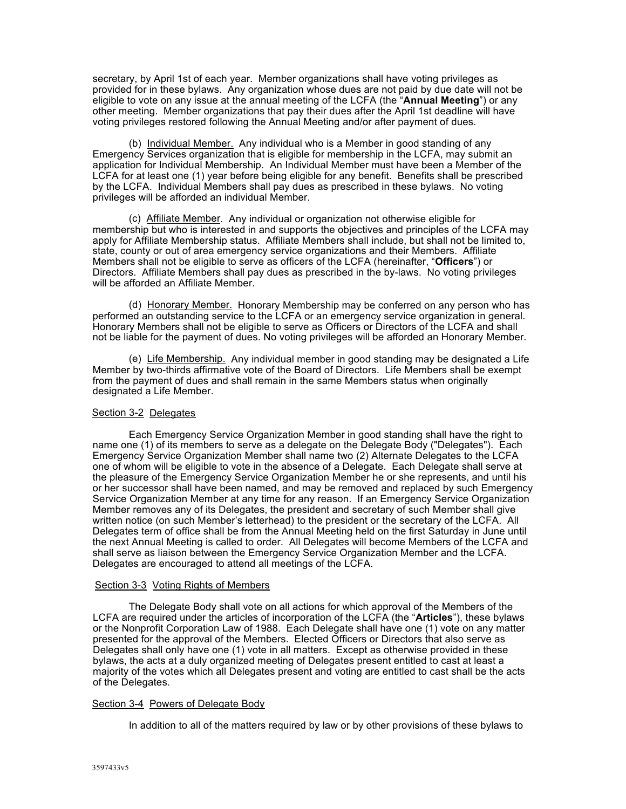secretary, by April 1st of each year. Member organizations shall have voting privileges as provided for in these bylaws. Any organization whose dues are not paid by due date will not be eligible to vote on any issue at the annual meeting of the LCFA (the "**Annual Meeting**") or any other meeting. Member organizations that pay their dues after the April 1st deadline will have voting privileges restored following the Annual Meeting and/or after payment of dues.

(b) Individual Member. Any individual who is a Member in good standing of any Emergency Services organization that is eligible for membership in the LCFA, may submit an application for Individual Membership. An Individual Member must have been a Member of the LCFA for at least one (1) year before being eligible for any benefit. Benefits shall be prescribed by the LCFA. Individual Members shall pay dues as prescribed in these bylaws. No voting privileges will be afforded an individual Member.

(c) Affiliate Member. Any individual or organization not otherwise eligible for membership but who is interested in and supports the objectives and principles of the LCFA may apply for Affiliate Membership status. Affiliate Members shall include, but shall not be limited to, state, county or out of area emergency service organizations and their Members. Affiliate Members shall not be eligible to serve as officers of the LCFA (hereinafter, "**Officers**") or Directors. Affiliate Members shall pay dues as prescribed in the by-laws. No voting privileges will be afforded an Affiliate Member.

(d) Honorary Member. Honorary Membership may be conferred on any person who has performed an outstanding service to the LCFA or an emergency service organization in general. Honorary Members shall not be eligible to serve as Officers or Directors of the LCFA and shall not be liable for the payment of dues. No voting privileges will be afforded an Honorary Member.

(e) Life Membership. Any individual member in good standing may be designated a Life Member by two-thirds affirmative vote of the Board of Directors. Life Members shall be exempt from the payment of dues and shall remain in the same Members status when originally designated a Life Member.

### Section 3-2 Delegates

Each Emergency Service Organization Member in good standing shall have the right to name one (1) of its members to serve as a delegate on the Delegate Body ("Delegates"). Each Emergency Service Organization Member shall name two (2) Alternate Delegates to the LCFA one of whom will be eligible to vote in the absence of a Delegate. Each Delegate shall serve at the pleasure of the Emergency Service Organization Member he or she represents, and until his or her successor shall have been named, and may be removed and replaced by such Emergency Service Organization Member at any time for any reason. If an Emergency Service Organization Member removes any of its Delegates, the president and secretary of such Member shall give written notice (on such Member's letterhead) to the president or the secretary of the LCFA. All Delegates term of office shall be from the Annual Meeting held on the first Saturday in June until the next Annual Meeting is called to order. All Delegates will become Members of the LCFA and shall serve as liaison between the Emergency Service Organization Member and the LCFA. Delegates are encouraged to attend all meetings of the LCFA.

### Section 3-3 Voting Rights of Members

The Delegate Body shall vote on all actions for which approval of the Members of the LCFA are required under the articles of incorporation of the LCFA (the "**Articles**"), these bylaws or the Nonprofit Corporation Law of 1988. Each Delegate shall have one (1) vote on any matter presented for the approval of the Members. Elected Officers or Directors that also serve as Delegates shall only have one (1) vote in all matters. Except as otherwise provided in these bylaws, the acts at a duly organized meeting of Delegates present entitled to cast at least a majority of the votes which all Delegates present and voting are entitled to cast shall be the acts of the Delegates.

### Section 3-4 Powers of Delegate Body

In addition to all of the matters required by law or by other provisions of these bylaws to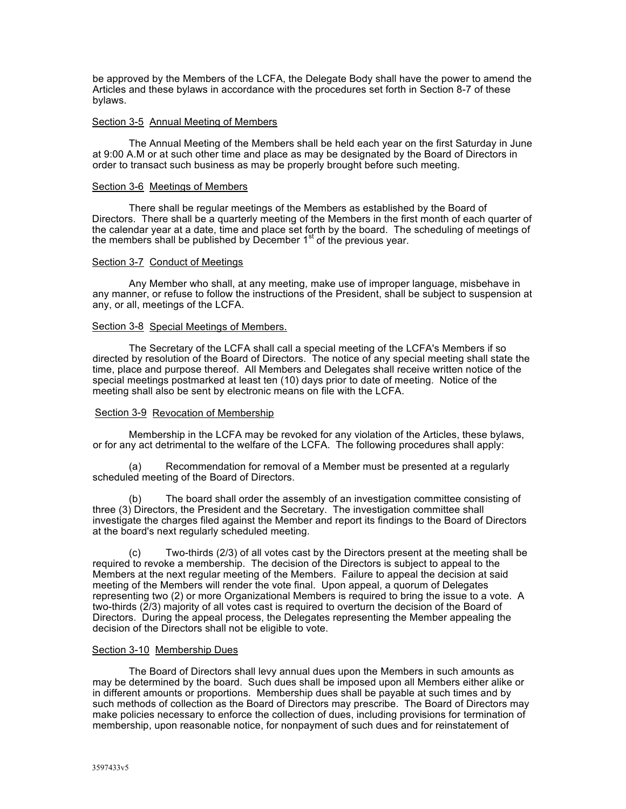be approved by the Members of the LCFA, the Delegate Body shall have the power to amend the Articles and these bylaws in accordance with the procedures set forth in Section 8-7 of these bylaws.

#### Section 3-5 Annual Meeting of Members

The Annual Meeting of the Members shall be held each year on the first Saturday in June at 9:00 A.M or at such other time and place as may be designated by the Board of Directors in order to transact such business as may be properly brought before such meeting.

#### Section 3-6 Meetings of Members

There shall be regular meetings of the Members as established by the Board of Directors. There shall be a quarterly meeting of the Members in the first month of each quarter of the calendar year at a date, time and place set forth by the board. The scheduling of meetings of the members shall be published by December  $1<sup>st</sup>$  of the previous year.

#### Section 3-7 Conduct of Meetings

Any Member who shall, at any meeting, make use of improper language, misbehave in any manner, or refuse to follow the instructions of the President, shall be subject to suspension at any, or all, meetings of the LCFA.

#### Section 3-8 Special Meetings of Members.

The Secretary of the LCFA shall call a special meeting of the LCFA's Members if so directed by resolution of the Board of Directors. The notice of any special meeting shall state the time, place and purpose thereof. All Members and Delegates shall receive written notice of the special meetings postmarked at least ten (10) days prior to date of meeting. Notice of the meeting shall also be sent by electronic means on file with the LCFA.

### Section 3-9 Revocation of Membership

Membership in the LCFA may be revoked for any violation of the Articles, these bylaws, or for any act detrimental to the welfare of the LCFA. The following procedures shall apply:

(a) Recommendation for removal of a Member must be presented at a regularly scheduled meeting of the Board of Directors.

(b) The board shall order the assembly of an investigation committee consisting of three (3) Directors, the President and the Secretary. The investigation committee shall investigate the charges filed against the Member and report its findings to the Board of Directors at the board's next regularly scheduled meeting.

(c) Two-thirds (2/3) of all votes cast by the Directors present at the meeting shall be required to revoke a membership. The decision of the Directors is subject to appeal to the Members at the next regular meeting of the Members. Failure to appeal the decision at said meeting of the Members will render the vote final. Upon appeal, a quorum of Delegates representing two (2) or more Organizational Members is required to bring the issue to a vote. A two-thirds (2/3) majority of all votes cast is required to overturn the decision of the Board of Directors. During the appeal process, the Delegates representing the Member appealing the decision of the Directors shall not be eligible to vote.

#### Section 3-10 Membership Dues

The Board of Directors shall levy annual dues upon the Members in such amounts as may be determined by the board. Such dues shall be imposed upon all Members either alike or in different amounts or proportions. Membership dues shall be payable at such times and by such methods of collection as the Board of Directors may prescribe. The Board of Directors may make policies necessary to enforce the collection of dues, including provisions for termination of membership, upon reasonable notice, for nonpayment of such dues and for reinstatement of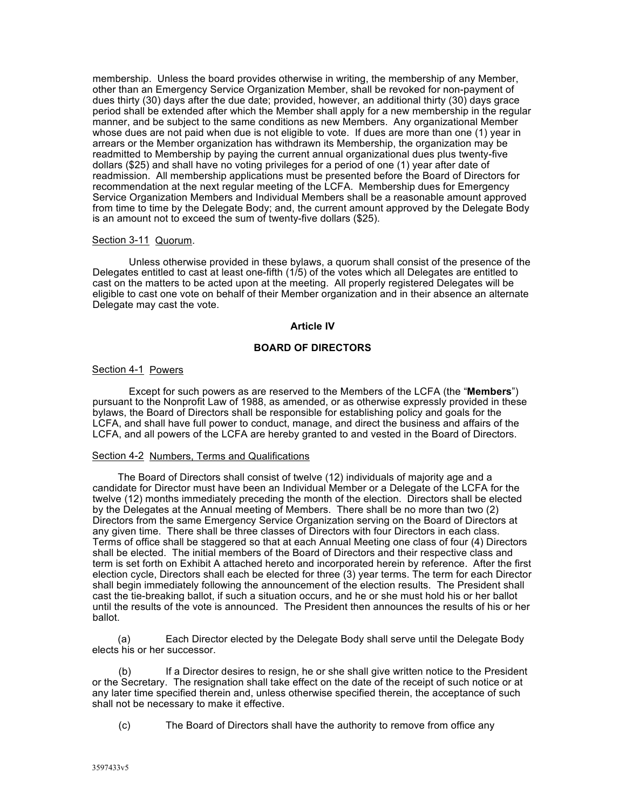membership. Unless the board provides otherwise in writing, the membership of any Member, other than an Emergency Service Organization Member, shall be revoked for non-payment of dues thirty (30) days after the due date; provided, however, an additional thirty (30) days grace period shall be extended after which the Member shall apply for a new membership in the regular manner, and be subject to the same conditions as new Members. Any organizational Member whose dues are not paid when due is not eligible to vote. If dues are more than one (1) year in arrears or the Member organization has withdrawn its Membership, the organization may be readmitted to Membership by paying the current annual organizational dues plus twenty-five dollars (\$25) and shall have no voting privileges for a period of one (1) year after date of readmission. All membership applications must be presented before the Board of Directors for recommendation at the next regular meeting of the LCFA. Membership dues for Emergency Service Organization Members and Individual Members shall be a reasonable amount approved from time to time by the Delegate Body; and, the current amount approved by the Delegate Body is an amount not to exceed the sum of twenty-five dollars (\$25).

### Section 3-11 Quorum.

Unless otherwise provided in these bylaws, a quorum shall consist of the presence of the Delegates entitled to cast at least one-fifth (1/5) of the votes which all Delegates are entitled to cast on the matters to be acted upon at the meeting. All properly registered Delegates will be eligible to cast one vote on behalf of their Member organization and in their absence an alternate Delegate may cast the vote.

## **Article IV**

# **BOARD OF DIRECTORS**

## Section 4-1 Powers

Except for such powers as are reserved to the Members of the LCFA (the "**Members**") pursuant to the Nonprofit Law of 1988, as amended, or as otherwise expressly provided in these bylaws, the Board of Directors shall be responsible for establishing policy and goals for the LCFA, and shall have full power to conduct, manage, and direct the business and affairs of the LCFA, and all powers of the LCFA are hereby granted to and vested in the Board of Directors.

### Section 4-2 Numbers, Terms and Qualifications

The Board of Directors shall consist of twelve (12) individuals of majority age and a candidate for Director must have been an Individual Member or a Delegate of the LCFA for the twelve (12) months immediately preceding the month of the election. Directors shall be elected by the Delegates at the Annual meeting of Members. There shall be no more than two (2) Directors from the same Emergency Service Organization serving on the Board of Directors at any given time. There shall be three classes of Directors with four Directors in each class. Terms of office shall be staggered so that at each Annual Meeting one class of four (4) Directors shall be elected. The initial members of the Board of Directors and their respective class and term is set forth on Exhibit A attached hereto and incorporated herein by reference. After the first election cycle, Directors shall each be elected for three (3) year terms. The term for each Director shall begin immediately following the announcement of the election results. The President shall cast the tie-breaking ballot, if such a situation occurs, and he or she must hold his or her ballot until the results of the vote is announced. The President then announces the results of his or her ballot.

(a) Each Director elected by the Delegate Body shall serve until the Delegate Body elects his or her successor.

(b) If a Director desires to resign, he or she shall give written notice to the President or the Secretary. The resignation shall take effect on the date of the receipt of such notice or at any later time specified therein and, unless otherwise specified therein, the acceptance of such shall not be necessary to make it effective.

(c) The Board of Directors shall have the authority to remove from office any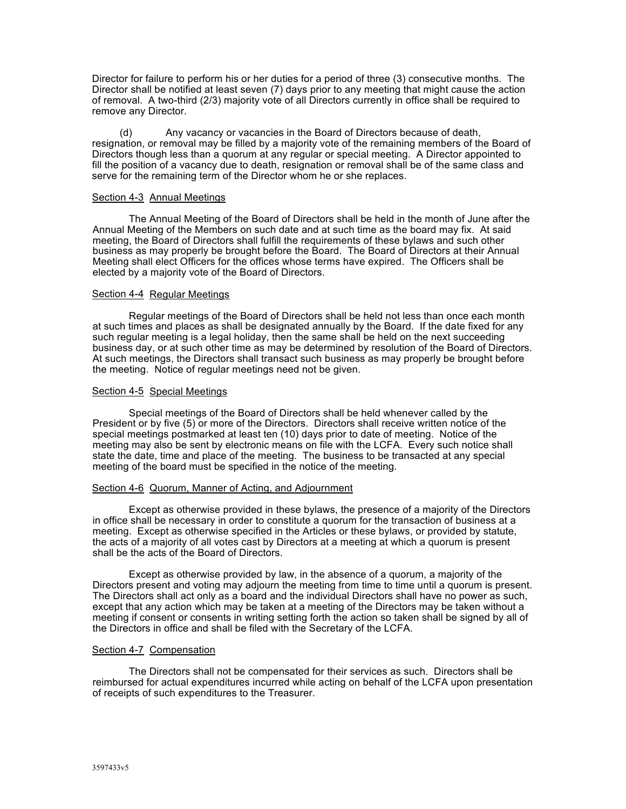Director for failure to perform his or her duties for a period of three (3) consecutive months. The Director shall be notified at least seven (7) days prior to any meeting that might cause the action of removal. A two-third (2/3) majority vote of all Directors currently in office shall be required to remove any Director.

(d) Any vacancy or vacancies in the Board of Directors because of death, resignation, or removal may be filled by a majority vote of the remaining members of the Board of Directors though less than a quorum at any regular or special meeting. A Director appointed to fill the position of a vacancy due to death, resignation or removal shall be of the same class and serve for the remaining term of the Director whom he or she replaces.

### Section 4-3 Annual Meetings

The Annual Meeting of the Board of Directors shall be held in the month of June after the Annual Meeting of the Members on such date and at such time as the board may fix. At said meeting, the Board of Directors shall fulfill the requirements of these bylaws and such other business as may properly be brought before the Board. The Board of Directors at their Annual Meeting shall elect Officers for the offices whose terms have expired. The Officers shall be elected by a majority vote of the Board of Directors.

### Section 4-4 Regular Meetings

Regular meetings of the Board of Directors shall be held not less than once each month at such times and places as shall be designated annually by the Board. If the date fixed for any such regular meeting is a legal holiday, then the same shall be held on the next succeeding business day, or at such other time as may be determined by resolution of the Board of Directors. At such meetings, the Directors shall transact such business as may properly be brought before the meeting. Notice of regular meetings need not be given.

### Section 4-5 Special Meetings

Special meetings of the Board of Directors shall be held whenever called by the President or by five (5) or more of the Directors. Directors shall receive written notice of the special meetings postmarked at least ten (10) days prior to date of meeting. Notice of the meeting may also be sent by electronic means on file with the LCFA. Every such notice shall state the date, time and place of the meeting. The business to be transacted at any special meeting of the board must be specified in the notice of the meeting.

## Section 4-6 Quorum, Manner of Acting, and Adjournment

Except as otherwise provided in these bylaws, the presence of a majority of the Directors in office shall be necessary in order to constitute a quorum for the transaction of business at a meeting. Except as otherwise specified in the Articles or these bylaws, or provided by statute, the acts of a majority of all votes cast by Directors at a meeting at which a quorum is present shall be the acts of the Board of Directors.

Except as otherwise provided by law, in the absence of a quorum, a majority of the Directors present and voting may adjourn the meeting from time to time until a quorum is present. The Directors shall act only as a board and the individual Directors shall have no power as such, except that any action which may be taken at a meeting of the Directors may be taken without a meeting if consent or consents in writing setting forth the action so taken shall be signed by all of the Directors in office and shall be filed with the Secretary of the LCFA.

### Section 4-7 Compensation

The Directors shall not be compensated for their services as such. Directors shall be reimbursed for actual expenditures incurred while acting on behalf of the LCFA upon presentation of receipts of such expenditures to the Treasurer.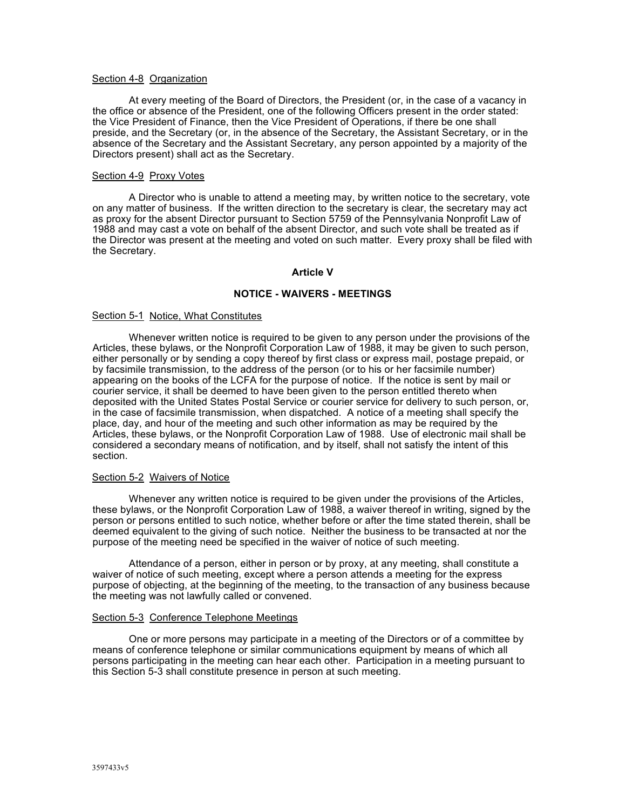#### Section 4-8 Organization

At every meeting of the Board of Directors, the President (or, in the case of a vacancy in the office or absence of the President, one of the following Officers present in the order stated: the Vice President of Finance, then the Vice President of Operations, if there be one shall preside, and the Secretary (or, in the absence of the Secretary, the Assistant Secretary, or in the absence of the Secretary and the Assistant Secretary, any person appointed by a majority of the Directors present) shall act as the Secretary.

#### Section 4-9 Proxy Votes

A Director who is unable to attend a meeting may, by written notice to the secretary, vote on any matter of business. If the written direction to the secretary is clear, the secretary may act as proxy for the absent Director pursuant to Section 5759 of the Pennsylvania Nonprofit Law of 1988 and may cast a vote on behalf of the absent Director, and such vote shall be treated as if the Director was present at the meeting and voted on such matter. Every proxy shall be filed with the Secretary.

#### **Article V**

### **NOTICE - WAIVERS - MEETINGS**

#### Section 5-1 Notice, What Constitutes

Whenever written notice is required to be given to any person under the provisions of the Articles, these bylaws, or the Nonprofit Corporation Law of 1988, it may be given to such person, either personally or by sending a copy thereof by first class or express mail, postage prepaid, or by facsimile transmission, to the address of the person (or to his or her facsimile number) appearing on the books of the LCFA for the purpose of notice. If the notice is sent by mail or courier service, it shall be deemed to have been given to the person entitled thereto when deposited with the United States Postal Service or courier service for delivery to such person, or, in the case of facsimile transmission, when dispatched. A notice of a meeting shall specify the place, day, and hour of the meeting and such other information as may be required by the Articles, these bylaws, or the Nonprofit Corporation Law of 1988. Use of electronic mail shall be considered a secondary means of notification, and by itself, shall not satisfy the intent of this section.

#### Section 5-2 Waivers of Notice

Whenever any written notice is required to be given under the provisions of the Articles, these bylaws, or the Nonprofit Corporation Law of 1988, a waiver thereof in writing, signed by the person or persons entitled to such notice, whether before or after the time stated therein, shall be deemed equivalent to the giving of such notice. Neither the business to be transacted at nor the purpose of the meeting need be specified in the waiver of notice of such meeting.

Attendance of a person, either in person or by proxy, at any meeting, shall constitute a waiver of notice of such meeting, except where a person attends a meeting for the express purpose of objecting, at the beginning of the meeting, to the transaction of any business because the meeting was not lawfully called or convened.

#### Section 5-3 Conference Telephone Meetings

One or more persons may participate in a meeting of the Directors or of a committee by means of conference telephone or similar communications equipment by means of which all persons participating in the meeting can hear each other. Participation in a meeting pursuant to this Section 5-3 shall constitute presence in person at such meeting.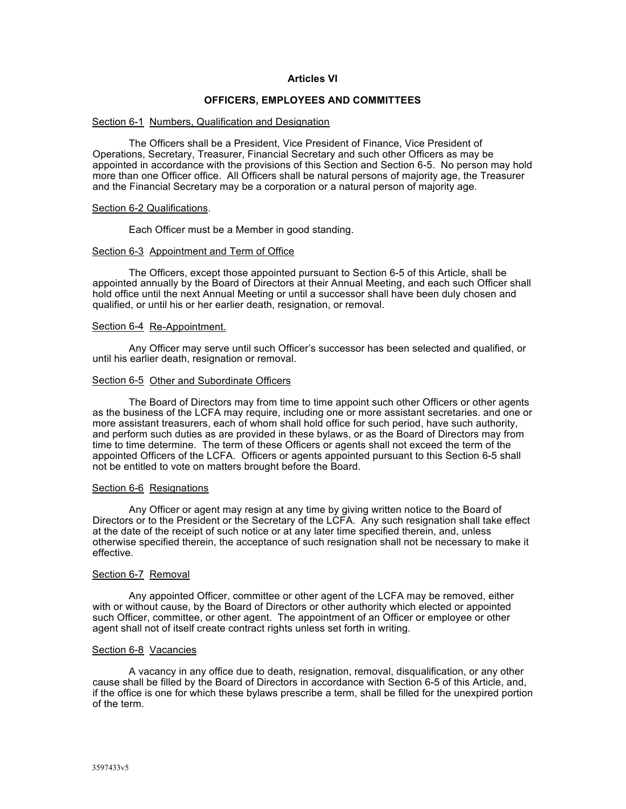## **Articles VI**

## **OFFICERS, EMPLOYEES AND COMMITTEES**

#### Section 6-1 Numbers, Qualification and Designation

The Officers shall be a President, Vice President of Finance, Vice President of Operations, Secretary, Treasurer, Financial Secretary and such other Officers as may be appointed in accordance with the provisions of this Section and Section 6-5. No person may hold more than one Officer office. All Officers shall be natural persons of majority age, the Treasurer and the Financial Secretary may be a corporation or a natural person of majority age.

#### Section 6-2 Qualifications.

Each Officer must be a Member in good standing.

#### Section 6-3 Appointment and Term of Office

The Officers, except those appointed pursuant to Section 6-5 of this Article, shall be appointed annually by the Board of Directors at their Annual Meeting, and each such Officer shall hold office until the next Annual Meeting or until a successor shall have been duly chosen and qualified, or until his or her earlier death, resignation, or removal.

## Section 6-4 Re-Appointment.

Any Officer may serve until such Officer's successor has been selected and qualified, or until his earlier death, resignation or removal.

#### Section 6-5 Other and Subordinate Officers

The Board of Directors may from time to time appoint such other Officers or other agents as the business of the LCFA may require, including one or more assistant secretaries. and one or more assistant treasurers, each of whom shall hold office for such period, have such authority, and perform such duties as are provided in these bylaws, or as the Board of Directors may from time to time determine. The term of these Officers or agents shall not exceed the term of the appointed Officers of the LCFA. Officers or agents appointed pursuant to this Section 6-5 shall not be entitled to vote on matters brought before the Board.

#### Section 6-6 Resignations

Any Officer or agent may resign at any time by giving written notice to the Board of Directors or to the President or the Secretary of the LCFA. Any such resignation shall take effect at the date of the receipt of such notice or at any later time specified therein, and, unless otherwise specified therein, the acceptance of such resignation shall not be necessary to make it effective.

#### Section 6-7 Removal

Any appointed Officer, committee or other agent of the LCFA may be removed, either with or without cause, by the Board of Directors or other authority which elected or appointed such Officer, committee, or other agent. The appointment of an Officer or employee or other agent shall not of itself create contract rights unless set forth in writing.

#### Section 6-8 Vacancies

A vacancy in any office due to death, resignation, removal, disqualification, or any other cause shall be filled by the Board of Directors in accordance with Section 6-5 of this Article, and, if the office is one for which these bylaws prescribe a term, shall be filled for the unexpired portion of the term.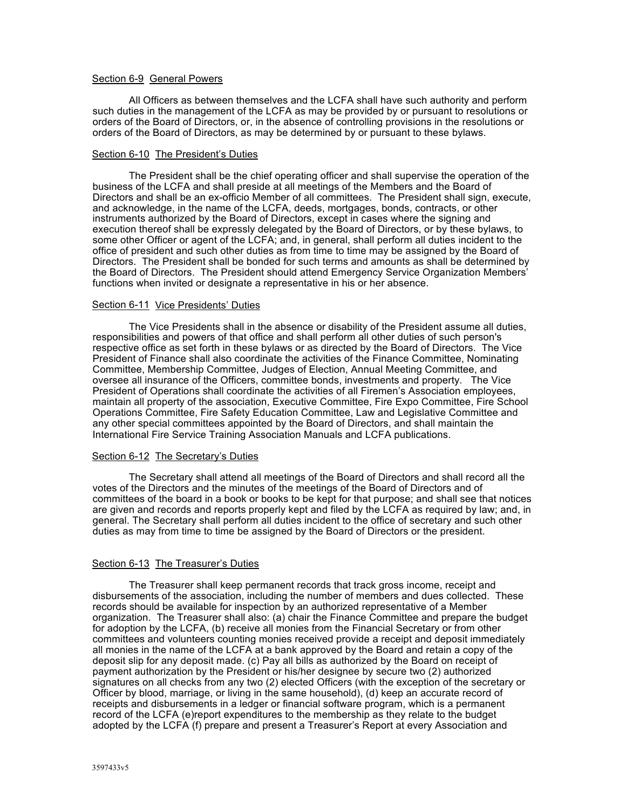### Section 6-9 General Powers

All Officers as between themselves and the LCFA shall have such authority and perform such duties in the management of the LCFA as may be provided by or pursuant to resolutions or orders of the Board of Directors, or, in the absence of controlling provisions in the resolutions or orders of the Board of Directors, as may be determined by or pursuant to these bylaws.

#### Section 6-10 The President's Duties

The President shall be the chief operating officer and shall supervise the operation of the business of the LCFA and shall preside at all meetings of the Members and the Board of Directors and shall be an ex-officio Member of all committees. The President shall sign, execute, and acknowledge, in the name of the LCFA, deeds, mortgages, bonds, contracts, or other instruments authorized by the Board of Directors, except in cases where the signing and execution thereof shall be expressly delegated by the Board of Directors, or by these bylaws, to some other Officer or agent of the LCFA; and, in general, shall perform all duties incident to the office of president and such other duties as from time to time may be assigned by the Board of Directors. The President shall be bonded for such terms and amounts as shall be determined by the Board of Directors. The President should attend Emergency Service Organization Members' functions when invited or designate a representative in his or her absence.

#### Section 6-11 Vice Presidents' Duties

The Vice Presidents shall in the absence or disability of the President assume all duties, responsibilities and powers of that office and shall perform all other duties of such person's respective office as set forth in these bylaws or as directed by the Board of Directors. The Vice President of Finance shall also coordinate the activities of the Finance Committee, Nominating Committee, Membership Committee, Judges of Election, Annual Meeting Committee, and oversee all insurance of the Officers, committee bonds, investments and property. The Vice President of Operations shall coordinate the activities of all Firemen's Association employees, maintain all property of the association, Executive Committee, Fire Expo Committee, Fire School Operations Committee, Fire Safety Education Committee, Law and Legislative Committee and any other special committees appointed by the Board of Directors, and shall maintain the International Fire Service Training Association Manuals and LCFA publications.

#### Section 6-12 The Secretary's Duties

The Secretary shall attend all meetings of the Board of Directors and shall record all the votes of the Directors and the minutes of the meetings of the Board of Directors and of committees of the board in a book or books to be kept for that purpose; and shall see that notices are given and records and reports properly kept and filed by the LCFA as required by law; and, in general. The Secretary shall perform all duties incident to the office of secretary and such other duties as may from time to time be assigned by the Board of Directors or the president.

### Section 6-13 The Treasurer's Duties

The Treasurer shall keep permanent records that track gross income, receipt and disbursements of the association, including the number of members and dues collected. These records should be available for inspection by an authorized representative of a Member organization. The Treasurer shall also: (a) chair the Finance Committee and prepare the budget for adoption by the LCFA, (b) receive all monies from the Financial Secretary or from other committees and volunteers counting monies received provide a receipt and deposit immediately all monies in the name of the LCFA at a bank approved by the Board and retain a copy of the deposit slip for any deposit made. (c) Pay all bills as authorized by the Board on receipt of payment authorization by the President or his/her designee by secure two (2) authorized signatures on all checks from any two (2) elected Officers (with the exception of the secretary or Officer by blood, marriage, or living in the same household), (d) keep an accurate record of receipts and disbursements in a ledger or financial software program, which is a permanent record of the LCFA (e)report expenditures to the membership as they relate to the budget adopted by the LCFA (f) prepare and present a Treasurer's Report at every Association and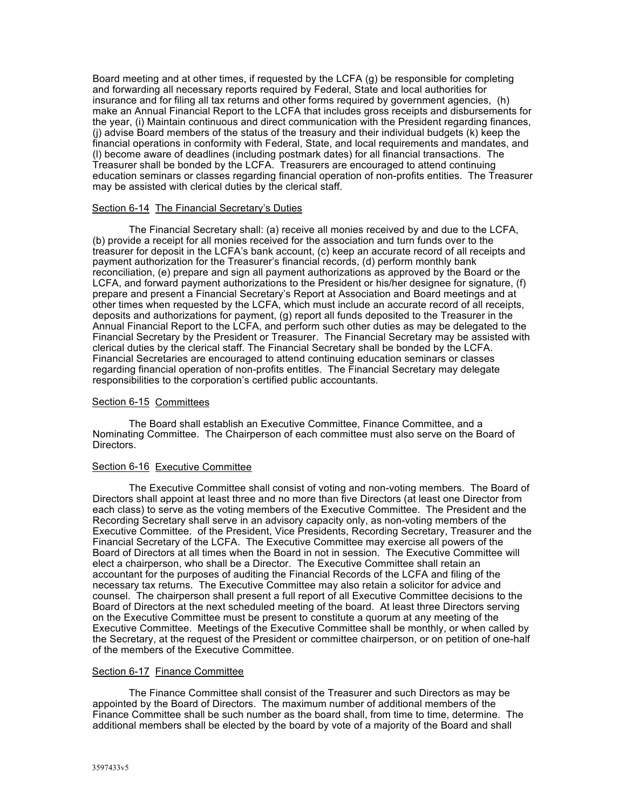Board meeting and at other times, if requested by the LCFA (g) be responsible for completing and forwarding all necessary reports required by Federal, State and local authorities for insurance and for filing all tax returns and other forms required by government agencies, (h) make an Annual Financial Report to the LCFA that includes gross receipts and disbursements for the year, (i) Maintain continuous and direct communication with the President regarding finances, (j) advise Board members of the status of the treasury and their individual budgets (k) keep the financial operations in conformity with Federal, State, and local requirements and mandates, and (l) become aware of deadlines (including postmark dates) for all financial transactions. The Treasurer shall be bonded by the LCFA. Treasurers are encouraged to attend continuing education seminars or classes regarding financial operation of non-profits entities. The Treasurer may be assisted with clerical duties by the clerical staff.

## Section 6-14 The Financial Secretary's Duties

The Financial Secretary shall: (a) receive all monies received by and due to the LCFA, (b) provide a receipt for all monies received for the association and turn funds over to the treasurer for deposit in the LCFA's bank account, (c) keep an accurate record of all receipts and payment authorization for the Treasurer's financial records, (d) perform monthly bank reconciliation, (e) prepare and sign all payment authorizations as approved by the Board or the LCFA, and forward payment authorizations to the President or his/her designee for signature, (f) prepare and present a Financial Secretary's Report at Association and Board meetings and at other times when requested by the LCFA, which must include an accurate record of all receipts, deposits and authorizations for payment, (g) report all funds deposited to the Treasurer in the Annual Financial Report to the LCFA, and perform such other duties as may be delegated to the Financial Secretary by the President or Treasurer. The Financial Secretary may be assisted with clerical duties by the clerical staff. The Financial Secretary shall be bonded by the LCFA. Financial Secretaries are encouraged to attend continuing education seminars or classes regarding financial operation of non-profits entitles. The Financial Secretary may delegate responsibilities to the corporation's certified public accountants.

## Section 6-15 Committees

The Board shall establish an Executive Committee, Finance Committee, and a Nominating Committee. The Chairperson of each committee must also serve on the Board of Directors.

### Section 6-16 Executive Committee

The Executive Committee shall consist of voting and non-voting members. The Board of Directors shall appoint at least three and no more than five Directors (at least one Director from each class) to serve as the voting members of the Executive Committee. The President and the Recording Secretary shall serve in an advisory capacity only, as non-voting members of the Executive Committee. of the President, Vice Presidents, Recording Secretary, Treasurer and the Financial Secretary of the LCFA. The Executive Committee may exercise all powers of the Board of Directors at all times when the Board in not in session. The Executive Committee will elect a chairperson, who shall be a Director. The Executive Committee shall retain an accountant for the purposes of auditing the Financial Records of the LCFA and filing of the necessary tax returns. The Executive Committee may also retain a solicitor for advice and counsel. The chairperson shall present a full report of all Executive Committee decisions to the Board of Directors at the next scheduled meeting of the board. At least three Directors serving on the Executive Committee must be present to constitute a quorum at any meeting of the Executive Committee. Meetings of the Executive Committee shall be monthly, or when called by the Secretary, at the request of the President or committee chairperson, or on petition of one-half of the members of the Executive Committee.

### Section 6-17 Finance Committee

The Finance Committee shall consist of the Treasurer and such Directors as may be appointed by the Board of Directors. The maximum number of additional members of the Finance Committee shall be such number as the board shall, from time to time, determine. The additional members shall be elected by the board by vote of a majority of the Board and shall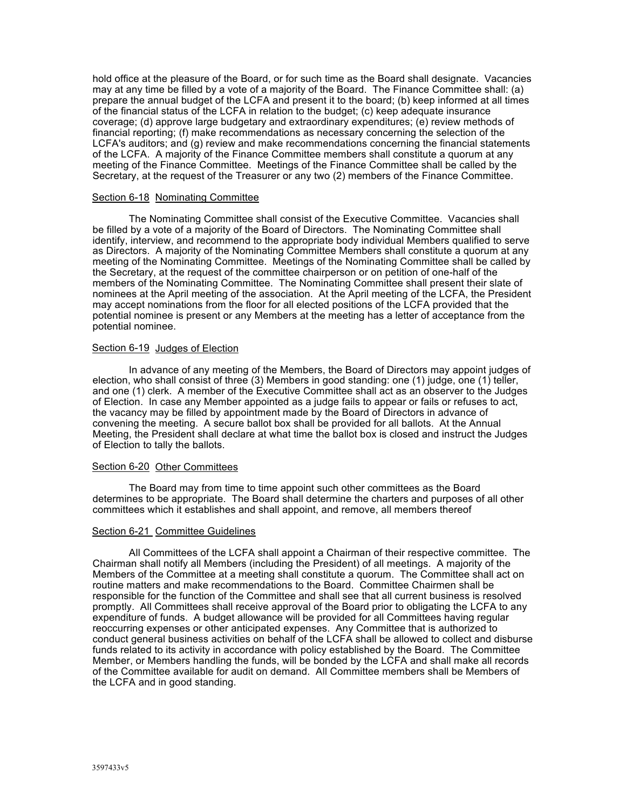hold office at the pleasure of the Board, or for such time as the Board shall designate. Vacancies may at any time be filled by a vote of a majority of the Board. The Finance Committee shall: (a) prepare the annual budget of the LCFA and present it to the board; (b) keep informed at all times of the financial status of the LCFA in relation to the budget; (c) keep adequate insurance coverage; (d) approve large budgetary and extraordinary expenditures; (e) review methods of financial reporting; (f) make recommendations as necessary concerning the selection of the LCFA's auditors; and (g) review and make recommendations concerning the financial statements of the LCFA. A majority of the Finance Committee members shall constitute a quorum at any meeting of the Finance Committee. Meetings of the Finance Committee shall be called by the Secretary, at the request of the Treasurer or any two (2) members of the Finance Committee.

#### Section 6-18 Nominating Committee

The Nominating Committee shall consist of the Executive Committee. Vacancies shall be filled by a vote of a majority of the Board of Directors. The Nominating Committee shall identify, interview, and recommend to the appropriate body individual Members qualified to serve as Directors. A majority of the Nominating Committee Members shall constitute a quorum at any meeting of the Nominating Committee. Meetings of the Nominating Committee shall be called by the Secretary, at the request of the committee chairperson or on petition of one-half of the members of the Nominating Committee. The Nominating Committee shall present their slate of nominees at the April meeting of the association. At the April meeting of the LCFA, the President may accept nominations from the floor for all elected positions of the LCFA provided that the potential nominee is present or any Members at the meeting has a letter of acceptance from the potential nominee.

### Section 6-19 Judges of Election

In advance of any meeting of the Members, the Board of Directors may appoint judges of election, who shall consist of three (3) Members in good standing: one (1) judge, one (1) teller, and one (1) clerk. A member of the Executive Committee shall act as an observer to the Judges of Election. In case any Member appointed as a judge fails to appear or fails or refuses to act, the vacancy may be filled by appointment made by the Board of Directors in advance of convening the meeting. A secure ballot box shall be provided for all ballots. At the Annual Meeting, the President shall declare at what time the ballot box is closed and instruct the Judges of Election to tally the ballots.

## Section 6-20 Other Committees

The Board may from time to time appoint such other committees as the Board determines to be appropriate. The Board shall determine the charters and purposes of all other committees which it establishes and shall appoint, and remove, all members thereof

### Section 6-21 Committee Guidelines

All Committees of the LCFA shall appoint a Chairman of their respective committee. The Chairman shall notify all Members (including the President) of all meetings. A majority of the Members of the Committee at a meeting shall constitute a quorum. The Committee shall act on routine matters and make recommendations to the Board. Committee Chairmen shall be responsible for the function of the Committee and shall see that all current business is resolved promptly. All Committees shall receive approval of the Board prior to obligating the LCFA to any expenditure of funds. A budget allowance will be provided for all Committees having regular reoccurring expenses or other anticipated expenses. Any Committee that is authorized to conduct general business activities on behalf of the LCFA shall be allowed to collect and disburse funds related to its activity in accordance with policy established by the Board. The Committee Member, or Members handling the funds, will be bonded by the LCFA and shall make all records of the Committee available for audit on demand. All Committee members shall be Members of the LCFA and in good standing.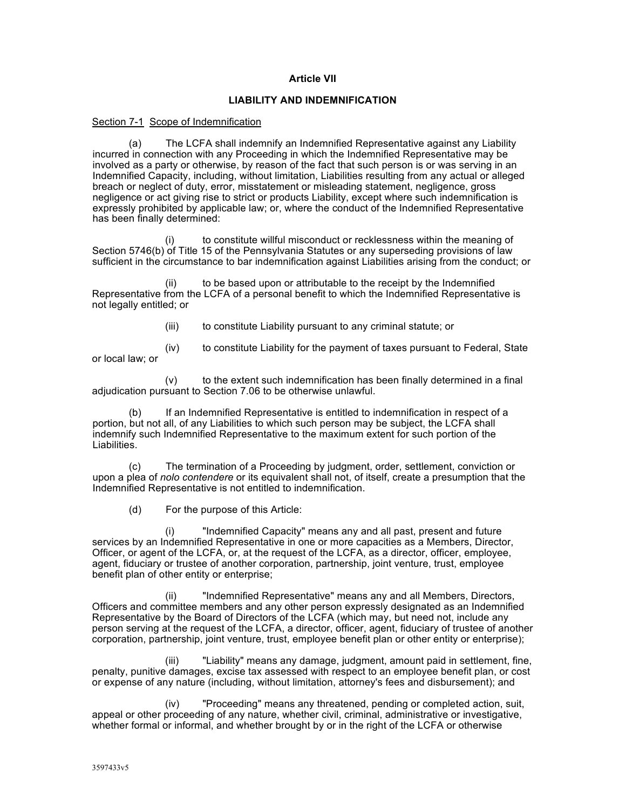## **Article VII**

## **LIABILITY AND INDEMNIFICATION**

#### Section 7-1 Scope of Indemnification

(a) The LCFA shall indemnify an Indemnified Representative against any Liability incurred in connection with any Proceeding in which the Indemnified Representative may be involved as a party or otherwise, by reason of the fact that such person is or was serving in an Indemnified Capacity, including, without limitation, Liabilities resulting from any actual or alleged breach or neglect of duty, error, misstatement or misleading statement, negligence, gross negligence or act giving rise to strict or products Liability, except where such indemnification is expressly prohibited by applicable law; or, where the conduct of the Indemnified Representative has been finally determined:

(i) to constitute willful misconduct or recklessness within the meaning of Section 5746(b) of Title 15 of the Pennsylvania Statutes or any superseding provisions of law sufficient in the circumstance to bar indemnification against Liabilities arising from the conduct; or

(ii) to be based upon or attributable to the receipt by the Indemnified Representative from the LCFA of a personal benefit to which the Indemnified Representative is not legally entitled; or

(iii) to constitute Liability pursuant to any criminal statute; or

 $(iv)$  to constitute Liability for the payment of taxes pursuant to Federal, State or local law; or

 $(v)$  to the extent such indemnification has been finally determined in a final adjudication pursuant to Section 7.06 to be otherwise unlawful.

(b) If an Indemnified Representative is entitled to indemnification in respect of a portion, but not all, of any Liabilities to which such person may be subject, the LCFA shall indemnify such Indemnified Representative to the maximum extent for such portion of the Liabilities.

(c) The termination of a Proceeding by judgment, order, settlement, conviction or upon a plea of *nolo contendere* or its equivalent shall not, of itself, create a presumption that the Indemnified Representative is not entitled to indemnification.

(d) For the purpose of this Article:

(i) "Indemnified Capacity" means any and all past, present and future services by an Indemnified Representative in one or more capacities as a Members, Director, Officer, or agent of the LCFA, or, at the request of the LCFA, as a director, officer, employee, agent, fiduciary or trustee of another corporation, partnership, joint venture, trust, employee benefit plan of other entity or enterprise;

(ii) "Indemnified Representative" means any and all Members, Directors, Officers and committee members and any other person expressly designated as an Indemnified Representative by the Board of Directors of the LCFA (which may, but need not, include any person serving at the request of the LCFA, a director, officer, agent, fiduciary of trustee of another corporation, partnership, joint venture, trust, employee benefit plan or other entity or enterprise);

(iii) "Liability" means any damage, judgment, amount paid in settlement, fine, penalty, punitive damages, excise tax assessed with respect to an employee benefit plan, or cost or expense of any nature (including, without limitation, attorney's fees and disbursement); and

(iv) "Proceeding" means any threatened, pending or completed action, suit, appeal or other proceeding of any nature, whether civil, criminal, administrative or investigative, whether formal or informal, and whether brought by or in the right of the LCFA or otherwise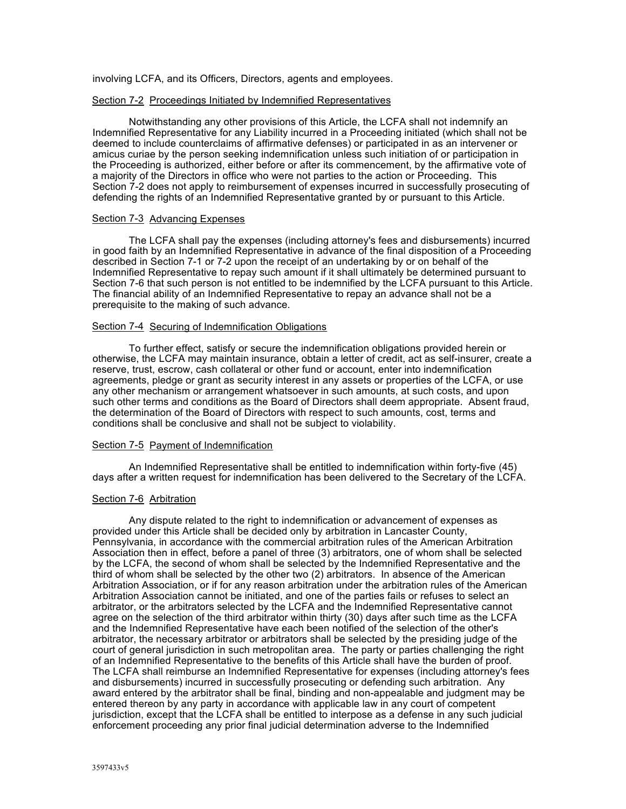involving LCFA, and its Officers, Directors, agents and employees.

### Section 7-2 Proceedings Initiated by Indemnified Representatives

Notwithstanding any other provisions of this Article, the LCFA shall not indemnify an Indemnified Representative for any Liability incurred in a Proceeding initiated (which shall not be deemed to include counterclaims of affirmative defenses) or participated in as an intervener or amicus curiae by the person seeking indemnification unless such initiation of or participation in the Proceeding is authorized, either before or after its commencement, by the affirmative vote of a majority of the Directors in office who were not parties to the action or Proceeding. This Section 7-2 does not apply to reimbursement of expenses incurred in successfully prosecuting of defending the rights of an Indemnified Representative granted by or pursuant to this Article.

#### Section 7-3 Advancing Expenses

The LCFA shall pay the expenses (including attorney's fees and disbursements) incurred in good faith by an Indemnified Representative in advance of the final disposition of a Proceeding described in Section 7-1 or 7-2 upon the receipt of an undertaking by or on behalf of the Indemnified Representative to repay such amount if it shall ultimately be determined pursuant to Section 7-6 that such person is not entitled to be indemnified by the LCFA pursuant to this Article. The financial ability of an Indemnified Representative to repay an advance shall not be a prerequisite to the making of such advance.

### Section 7-4 Securing of Indemnification Obligations

To further effect, satisfy or secure the indemnification obligations provided herein or otherwise, the LCFA may maintain insurance, obtain a letter of credit, act as self-insurer, create a reserve, trust, escrow, cash collateral or other fund or account, enter into indemnification agreements, pledge or grant as security interest in any assets or properties of the LCFA, or use any other mechanism or arrangement whatsoever in such amounts, at such costs, and upon such other terms and conditions as the Board of Directors shall deem appropriate. Absent fraud, the determination of the Board of Directors with respect to such amounts, cost, terms and conditions shall be conclusive and shall not be subject to violability.

### Section 7-5 Payment of Indemnification

An Indemnified Representative shall be entitled to indemnification within forty-five (45) days after a written request for indemnification has been delivered to the Secretary of the LCFA.

### Section 7-6 Arbitration

Any dispute related to the right to indemnification or advancement of expenses as provided under this Article shall be decided only by arbitration in Lancaster County, Pennsylvania, in accordance with the commercial arbitration rules of the American Arbitration Association then in effect, before a panel of three (3) arbitrators, one of whom shall be selected by the LCFA, the second of whom shall be selected by the Indemnified Representative and the third of whom shall be selected by the other two (2) arbitrators. In absence of the American Arbitration Association, or if for any reason arbitration under the arbitration rules of the American Arbitration Association cannot be initiated, and one of the parties fails or refuses to select an arbitrator, or the arbitrators selected by the LCFA and the Indemnified Representative cannot agree on the selection of the third arbitrator within thirty (30) days after such time as the LCFA and the Indemnified Representative have each been notified of the selection of the other's arbitrator, the necessary arbitrator or arbitrators shall be selected by the presiding judge of the court of general jurisdiction in such metropolitan area. The party or parties challenging the right of an Indemnified Representative to the benefits of this Article shall have the burden of proof. The LCFA shall reimburse an Indemnified Representative for expenses (including attorney's fees and disbursements) incurred in successfully prosecuting or defending such arbitration. Any award entered by the arbitrator shall be final, binding and non-appealable and judgment may be entered thereon by any party in accordance with applicable law in any court of competent jurisdiction, except that the LCFA shall be entitled to interpose as a defense in any such judicial enforcement proceeding any prior final judicial determination adverse to the Indemnified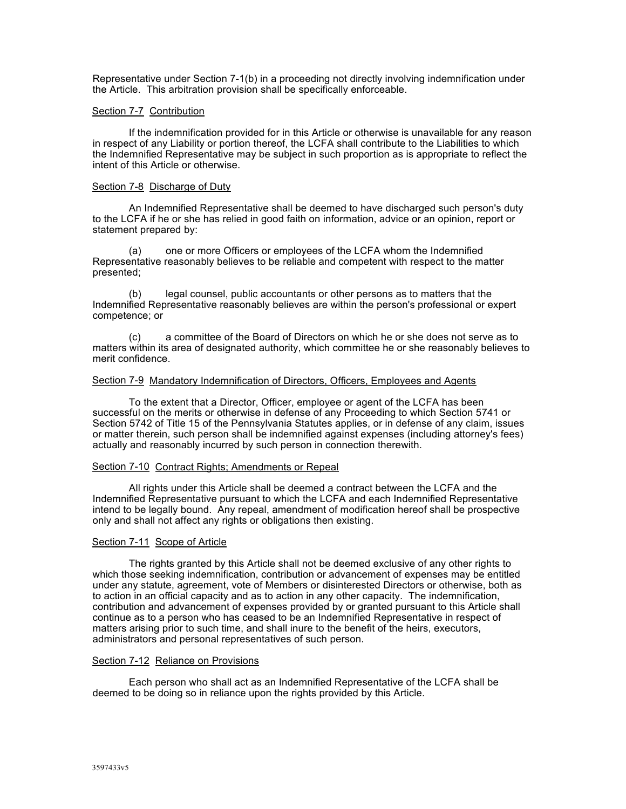Representative under Section 7-1(b) in a proceeding not directly involving indemnification under the Article. This arbitration provision shall be specifically enforceable.

### Section 7-7 Contribution

If the indemnification provided for in this Article or otherwise is unavailable for any reason in respect of any Liability or portion thereof, the LCFA shall contribute to the Liabilities to which the Indemnified Representative may be subject in such proportion as is appropriate to reflect the intent of this Article or otherwise.

### Section 7-8 Discharge of Duty

An Indemnified Representative shall be deemed to have discharged such person's duty to the LCFA if he or she has relied in good faith on information, advice or an opinion, report or statement prepared by:

(a) one or more Officers or employees of the LCFA whom the Indemnified Representative reasonably believes to be reliable and competent with respect to the matter presented;

(b) legal counsel, public accountants or other persons as to matters that the Indemnified Representative reasonably believes are within the person's professional or expert competence; or

(c) a committee of the Board of Directors on which he or she does not serve as to matters within its area of designated authority, which committee he or she reasonably believes to merit confidence.

#### Section 7-9 Mandatory Indemnification of Directors, Officers, Employees and Agents

To the extent that a Director, Officer, employee or agent of the LCFA has been successful on the merits or otherwise in defense of any Proceeding to which Section 5741 or Section 5742 of Title 15 of the Pennsylvania Statutes applies, or in defense of any claim, issues or matter therein, such person shall be indemnified against expenses (including attorney's fees) actually and reasonably incurred by such person in connection therewith.

#### Section 7-10 Contract Rights; Amendments or Repeal

All rights under this Article shall be deemed a contract between the LCFA and the Indemnified Representative pursuant to which the LCFA and each Indemnified Representative intend to be legally bound. Any repeal, amendment of modification hereof shall be prospective only and shall not affect any rights or obligations then existing.

### Section 7-11 Scope of Article

The rights granted by this Article shall not be deemed exclusive of any other rights to which those seeking indemnification, contribution or advancement of expenses may be entitled under any statute, agreement, vote of Members or disinterested Directors or otherwise, both as to action in an official capacity and as to action in any other capacity. The indemnification, contribution and advancement of expenses provided by or granted pursuant to this Article shall continue as to a person who has ceased to be an Indemnified Representative in respect of matters arising prior to such time, and shall inure to the benefit of the heirs, executors, administrators and personal representatives of such person.

#### Section 7-12 Reliance on Provisions

Each person who shall act as an Indemnified Representative of the LCFA shall be deemed to be doing so in reliance upon the rights provided by this Article.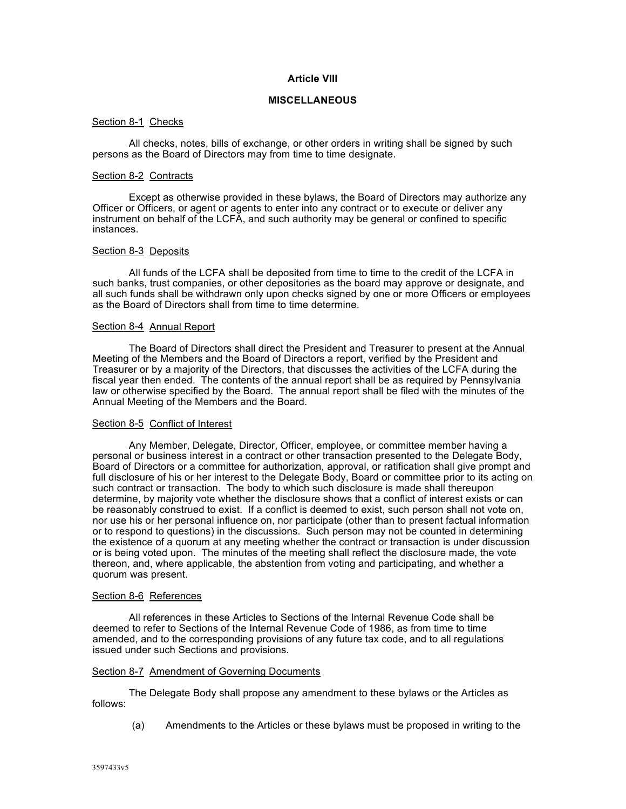## **Article VIII**

## **MISCELLANEOUS**

#### Section 8-1 Checks

All checks, notes, bills of exchange, or other orders in writing shall be signed by such persons as the Board of Directors may from time to time designate.

#### Section 8-2 Contracts

Except as otherwise provided in these bylaws, the Board of Directors may authorize any Officer or Officers, or agent or agents to enter into any contract or to execute or deliver any instrument on behalf of the LCFA, and such authority may be general or confined to specific instances.

### Section 8-3 Deposits

All funds of the LCFA shall be deposited from time to time to the credit of the LCFA in such banks, trust companies, or other depositories as the board may approve or designate, and all such funds shall be withdrawn only upon checks signed by one or more Officers or employees as the Board of Directors shall from time to time determine.

#### Section 8-4 Annual Report

The Board of Directors shall direct the President and Treasurer to present at the Annual Meeting of the Members and the Board of Directors a report, verified by the President and Treasurer or by a majority of the Directors, that discusses the activities of the LCFA during the fiscal year then ended. The contents of the annual report shall be as required by Pennsylvania law or otherwise specified by the Board. The annual report shall be filed with the minutes of the Annual Meeting of the Members and the Board.

### Section 8-5 Conflict of Interest

Any Member, Delegate, Director, Officer, employee, or committee member having a personal or business interest in a contract or other transaction presented to the Delegate Body, Board of Directors or a committee for authorization, approval, or ratification shall give prompt and full disclosure of his or her interest to the Delegate Body, Board or committee prior to its acting on such contract or transaction. The body to which such disclosure is made shall thereupon determine, by majority vote whether the disclosure shows that a conflict of interest exists or can be reasonably construed to exist. If a conflict is deemed to exist, such person shall not vote on, nor use his or her personal influence on, nor participate (other than to present factual information or to respond to questions) in the discussions. Such person may not be counted in determining the existence of a quorum at any meeting whether the contract or transaction is under discussion or is being voted upon. The minutes of the meeting shall reflect the disclosure made, the vote thereon, and, where applicable, the abstention from voting and participating, and whether a quorum was present.

#### Section 8-6 References

All references in these Articles to Sections of the Internal Revenue Code shall be deemed to refer to Sections of the Internal Revenue Code of 1986, as from time to time amended, and to the corresponding provisions of any future tax code, and to all regulations issued under such Sections and provisions.

#### Section 8-7 Amendment of Governing Documents

The Delegate Body shall propose any amendment to these bylaws or the Articles as follows:

(a) Amendments to the Articles or these bylaws must be proposed in writing to the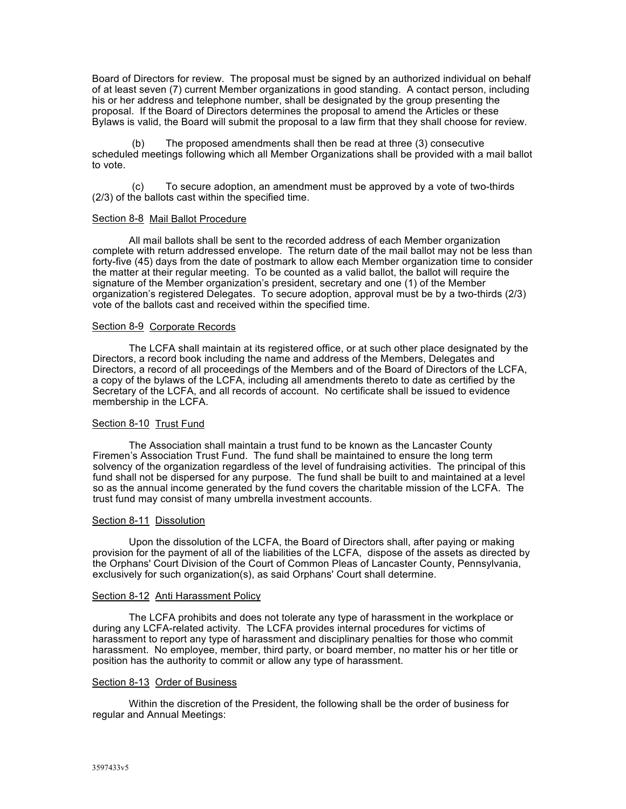Board of Directors for review. The proposal must be signed by an authorized individual on behalf of at least seven (7) current Member organizations in good standing. A contact person, including his or her address and telephone number, shall be designated by the group presenting the proposal. If the Board of Directors determines the proposal to amend the Articles or these Bylaws is valid, the Board will submit the proposal to a law firm that they shall choose for review.

(b) The proposed amendments shall then be read at three (3) consecutive scheduled meetings following which all Member Organizations shall be provided with a mail ballot to vote.

(c) To secure adoption, an amendment must be approved by a vote of two-thirds (2/3) of the ballots cast within the specified time.

## Section 8-8 Mail Ballot Procedure

All mail ballots shall be sent to the recorded address of each Member organization complete with return addressed envelope. The return date of the mail ballot may not be less than forty-five (45) days from the date of postmark to allow each Member organization time to consider the matter at their regular meeting. To be counted as a valid ballot, the ballot will require the signature of the Member organization's president, secretary and one (1) of the Member organization's registered Delegates. To secure adoption, approval must be by a two-thirds (2/3) vote of the ballots cast and received within the specified time.

## Section 8-9 Corporate Records

The LCFA shall maintain at its registered office, or at such other place designated by the Directors, a record book including the name and address of the Members, Delegates and Directors, a record of all proceedings of the Members and of the Board of Directors of the LCFA, a copy of the bylaws of the LCFA, including all amendments thereto to date as certified by the Secretary of the LCFA, and all records of account. No certificate shall be issued to evidence membership in the LCFA.

### Section 8-10 Trust Fund

The Association shall maintain a trust fund to be known as the Lancaster County Firemen's Association Trust Fund. The fund shall be maintained to ensure the long term solvency of the organization regardless of the level of fundraising activities. The principal of this fund shall not be dispersed for any purpose. The fund shall be built to and maintained at a level so as the annual income generated by the fund covers the charitable mission of the LCFA. The trust fund may consist of many umbrella investment accounts.

#### Section 8-11 Dissolution

Upon the dissolution of the LCFA, the Board of Directors shall, after paying or making provision for the payment of all of the liabilities of the LCFA, dispose of the assets as directed by the Orphans' Court Division of the Court of Common Pleas of Lancaster County, Pennsylvania, exclusively for such organization(s), as said Orphans' Court shall determine.

#### Section 8-12 Anti Harassment Policy

The LCFA prohibits and does not tolerate any type of harassment in the workplace or during any LCFA-related activity. The LCFA provides internal procedures for victims of harassment to report any type of harassment and disciplinary penalties for those who commit harassment. No employee, member, third party, or board member, no matter his or her title or position has the authority to commit or allow any type of harassment.

#### Section 8-13 Order of Business

Within the discretion of the President, the following shall be the order of business for regular and Annual Meetings: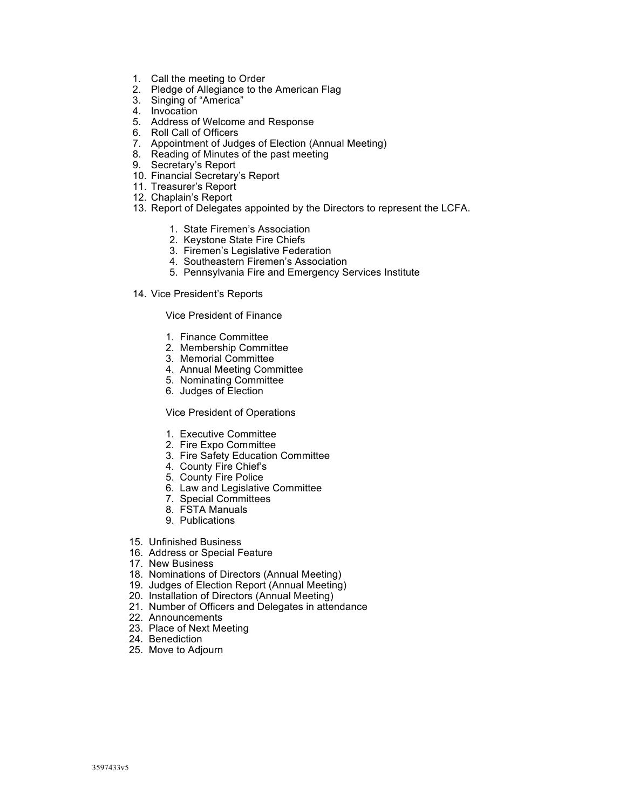- 1. Call the meeting to Order
- 2. Pledge of Allegiance to the American Flag
- 3. Singing of "America"
- 4. Invocation
- 5. Address of Welcome and Response
- 6. Roll Call of Officers
- 7. Appointment of Judges of Election (Annual Meeting)
- 8. Reading of Minutes of the past meeting
- 9. Secretary's Report
- 10. Financial Secretary's Report
- 11. Treasurer's Report
- 12. Chaplain's Report
- 13. Report of Delegates appointed by the Directors to represent the LCFA.
	- 1. State Firemen's Association
	- 2. Keystone State Fire Chiefs
	- 3. Firemen's Legislative Federation
	- 4. Southeastern Firemen's Association
	- 5. Pennsylvania Fire and Emergency Services Institute
- 14. Vice President's Reports

### Vice President of Finance

- 1. Finance Committee
- 2. Membership Committee
- 3. Memorial Committee
- 4. Annual Meeting Committee
- 5. Nominating Committee
- 6. Judges of Election

## Vice President of Operations

- 1. Executive Committee
- 2. Fire Expo Committee
- 3. Fire Safety Education Committee
- 4. County Fire Chief's
- 5. County Fire Police
- 6. Law and Legislative Committee
- 7. Special Committees
- 8. FSTA Manuals
- 9. Publications
- 15. Unfinished Business
- 16. Address or Special Feature
- 17. New Business
- 18. Nominations of Directors (Annual Meeting)
- 19. Judges of Election Report (Annual Meeting)
- 20. Installation of Directors (Annual Meeting)
- 21. Number of Officers and Delegates in attendance
- 22. Announcements
- 23. Place of Next Meeting
- 24. Benediction
- 25. Move to Adjourn